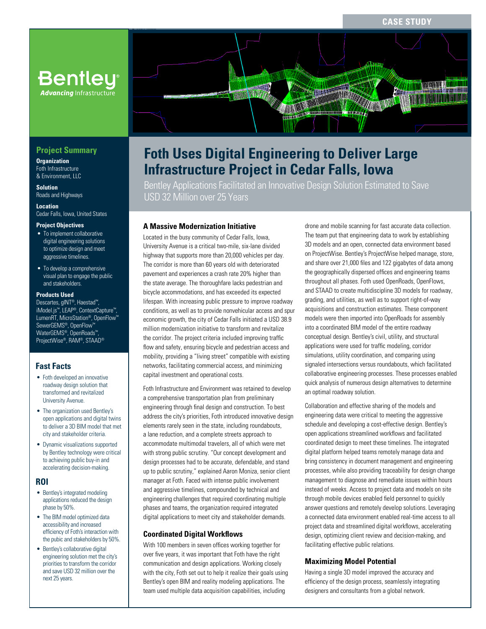**CASE STUDY**

# **Bentley® Advancing Infrastructure**

## **Project Summary**

**Organization** Foth Infrastructure & Environment, LLC

**Solution** Roads and Highways

**Location** Cedar Falls, Iowa, United States

#### **Project Objectives**

- To implement collaborative digital engineering solutions to optimize design and meet aggressive timelines.
- To develop a comprehensive visual plan to engage the public and stakeholders.

#### **Products Used**

Descartes, gINT®, Haestad™, iModel.js™, LEAP®, ContextCapture™, LumenRT, MicroStation®, OpenFlow™ SewerGEMS®, OpenFlow™ WaterGEMS®, OpenRoads™, ProjectWise®, RAM®, STAAD®

## **Fast Facts**

- Foth developed an innovative roadway design solution that transformed and revitalized University Avenue.
- The organization used Bentley's open applications and digital twins to deliver a 3D BIM model that met city and stakeholder criteria.
- Dynamic visualizations supported by Bentley technology were critical to achieving public buy-in and accelerating decision-making.

#### **ROI**

- Bentley's integrated modeling applications reduced the design phase by 50%.
- The BIM model optimized data accessibility and increased efficiency of Foth's interaction with the pubic and stakeholders by 50%.
- Bentley's collaborative digital engineering solution met the city's priorities to transform the corridor and save USD 32 million over the next 25 years.

# **Foth Uses Digital Engineering to Deliver Large Infrastructure Project in Cedar Falls, Iowa**

Bentley Applications Facilitated an Innovative Design Solution Estimated to Save USD 32 Million over 25 Years

#### **A Massive Modernization Initiative**

Located in the busy community of Cedar Falls, Iowa, University Avenue is a critical two-mile, six-lane divided highway that supports more than 20,000 vehicles per day. The corridor is more than 60 years old with deteriorated pavement and experiences a crash rate 20% higher than the state average. The thoroughfare lacks pedestrian and bicycle accommodations, and has exceeded its expected lifespan. With increasing public pressure to improve roadway conditions, as well as to provide nonvehicular access and spur economic growth, the city of Cedar Falls initiated a USD 38.9 million modernization initiative to transform and revitalize the corridor. The project criteria included improving traffic flow and safety, ensuring bicycle and pedestrian access and mobility, providing a "living street" compatible with existing networks, facilitating commercial access, and minimizing capital investment and operational costs.

Foth Infrastructure and Environment was retained to develop a comprehensive transportation plan from preliminary engineering through final design and construction. To best address the city's priorities, Foth introduced innovative design elements rarely seen in the state, including roundabouts, a lane reduction, and a complete streets approach to accommodate multimodal travelers, all of which were met with strong public scrutiny. "Our concept development and design processes had to be accurate, defendable, and stand up to public scrutiny," explained Aaron Moniza, senior client manager at Foth. Faced with intense public involvement and aggressive timelines, compounded by technical and engineering challenges that required coordinating multiple phases and teams, the organization required integrated digital applications to meet city and stakeholder demands.

#### **Coordinated Digital Workflows**

With 100 members in seven offices working together for over five years, it was important that Foth have the right communication and design applications. Working closely with the city, Foth set out to help it realize their goals using Bentley's open BIM and reality modeling applications. The team used multiple data acquisition capabilities, including

drone and mobile scanning for fast accurate data collection. The team put that engineering data to work by establishing 3D models and an open, connected data environment based on ProjectWise. Bentley's ProjectWise helped manage, store, and share over 21,000 files and 122 gigabytes of data among the geographically dispersed offices and engineering teams throughout all phases. Foth used OpenRoads, OpenFlows, and STAAD to create multidiscipline 3D models for roadway, grading, and utilities, as well as to support right-of-way acquisitions and construction estimates. These component models were then imported into OpenRoads for assembly into a coordinated BIM model of the entire roadway conceptual design. Bentley's civil, utility, and structural applications were used for traffic modeling, corridor simulations, utility coordination, and comparing using signaled intersections versus roundabouts, which facilitated collaborative engineering processes. These processes enabled quick analysis of numerous design alternatives to determine an optimal roadway solution.

Collaboration and effective sharing of the models and engineering data were critical to meeting the aggressive schedule and developing a cost-effective design. Bentley's open applications streamlined workflows and facilitated coordinated design to meet these timelines. The integrated digital platform helped teams remotely manage data and bring consistency in document management and engineering processes, while also providing traceability for design change management to diagnose and remediate issues within hours instead of weeks. Access to project data and models on site through mobile devices enabled field personnel to quickly answer questions and remotely develop solutions. Leveraging a connected data environment enabled real-time access to all project data and streamlined digital workflows, accelerating design, optimizing client review and decision-making, and facilitating effective public relations.

## **Maximizing Model Potential**

Having a single 3D model improved the accuracy and efficiency of the design process, seamlessly integrating designers and consultants from a global network.